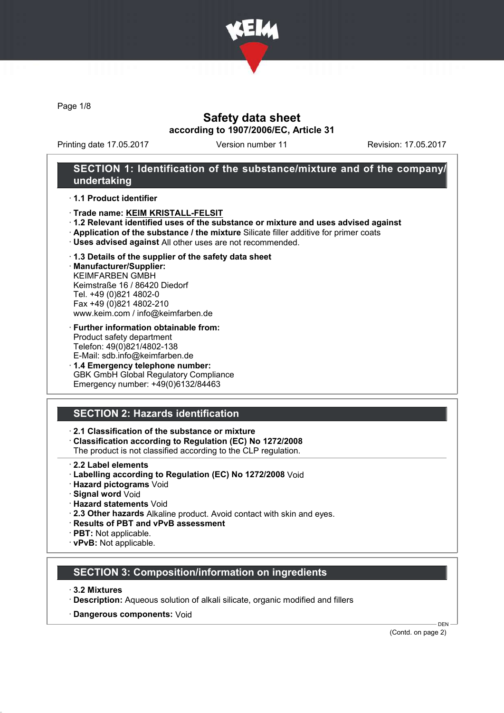

Page 1/8

### Safety data sheet according to 1907/2006/EC, Article 31

Printing date 17.05.2017 Version number 11 Revision: 17.05.2017

### SECTION 1: Identification of the substance/mixture and of the company/ undertaking

· 1.1 Product identifier

- · Trade name: KEIM KRISTALL-FELSIT
- · 1.2 Relevant identified uses of the substance or mixture and uses advised against
- · Application of the substance / the mixture Silicate filler additive for primer coats
- · Uses advised against All other uses are not recommended.
- · 1.3 Details of the supplier of the safety data sheet

· Manufacturer/Supplier: KEIMFARBEN GMBH Keimstraße 16 / 86420 Diedorf Tel. +49 (0)821 4802-0 Fax +49 (0)821 4802-210 www.keim.com / info@keimfarben.de

- · Further information obtainable from: Product safety department Telefon: 49(0)821/4802-138 E-Mail: sdb.info@keimfarben.de
- · 1.4 Emergency telephone number: GBK GmbH Global Regulatory Compliance Emergency number: +49(0)6132/84463

# SECTION 2: Hazards identification

· 2.1 Classification of the substance or mixture

· Classification according to Regulation (EC) No 1272/2008

The product is not classified according to the CLP regulation.

- 2.2 Label elements
- · Labelling according to Regulation (EC) No 1272/2008 Void
- · Hazard pictograms Void
- · Signal word Void
- · Hazard statements Void
- · 2.3 Other hazards Alkaline product. Avoid contact with skin and eyes.
- · Results of PBT and vPvB assessment
- · PBT: Not applicable.
- · vPvB: Not applicable.

### SECTION 3: Composition/information on ingredients

- · 3.2 Mixtures
- · Description: Aqueous solution of alkali silicate, organic modified and fillers
- · Dangerous components: Void

(Contd. on page 2)

DEN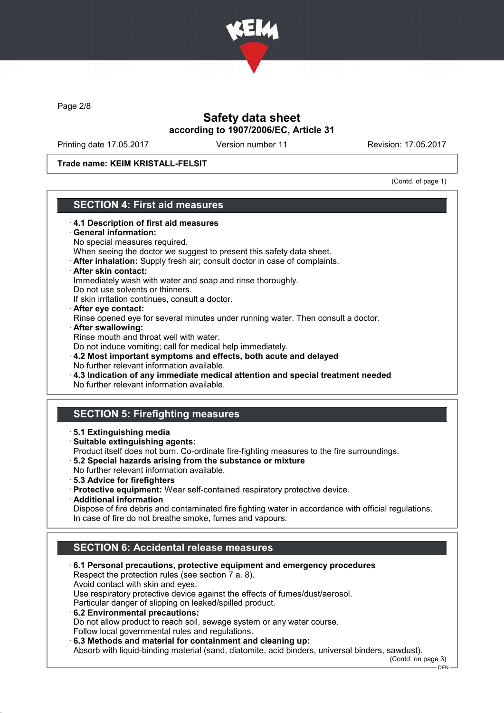

Page 2/8

# Safety data sheet according to 1907/2006/EC, Article 31

Printing date 17.05.2017 Version number 11 Revision: 17.05.2017

Trade name: KEIM KRISTALL-FELSIT

(Contd. of page 1)

# SECTION 4: First aid measures

- · 4.1 Description of first aid measures General information: No special measures required. When seeing the doctor we suggest to present this safety data sheet. · After inhalation: Supply fresh air; consult doctor in case of complaints. · After skin contact: Immediately wash with water and soap and rinse thoroughly. Do not use solvents or thinners. If skin irritation continues, consult a doctor. · After eye contact: Rinse opened eye for several minutes under running water. Then consult a doctor. · After swallowing: Rinse mouth and throat well with water. Do not induce vomiting; call for medical help immediately. · 4.2 Most important symptoms and effects, both acute and delayed No further relevant information available. · 4.3 Indication of any immediate medical attention and special treatment needed No further relevant information available. SECTION 5: Firefighting measures · 5.1 Extinguishing media · Suitable extinguishing agents: Product itself does not burn. Co-ordinate fire-fighting measures to the fire surroundings. · 5.2 Special hazards arising from the substance or mixture No further relevant information available. · 5.3 Advice for firefighters · Protective equipment: Wear self-contained respiratory protective device. · Additional information Dispose of fire debris and contaminated fire fighting water in accordance with official regulations. In case of fire do not breathe smoke, fumes and vapours. SECTION 6: Accidental release measures · 6.1 Personal precautions, protective equipment and emergency procedures Respect the protection rules (see section 7 a. 8). Avoid contact with skin and eyes. Use respiratory protective device against the effects of fumes/dust/aerosol. Particular danger of slipping on leaked/spilled product. · 6.2 Environmental precautions:
	- Do not allow product to reach soil, sewage system or any water course. Follow local governmental rules and regulations.

· 6.3 Methods and material for containment and cleaning up:

Absorb with liquid-binding material (sand, diatomite, acid binders, universal binders, sawdust).

(Contd. on page 3) DEN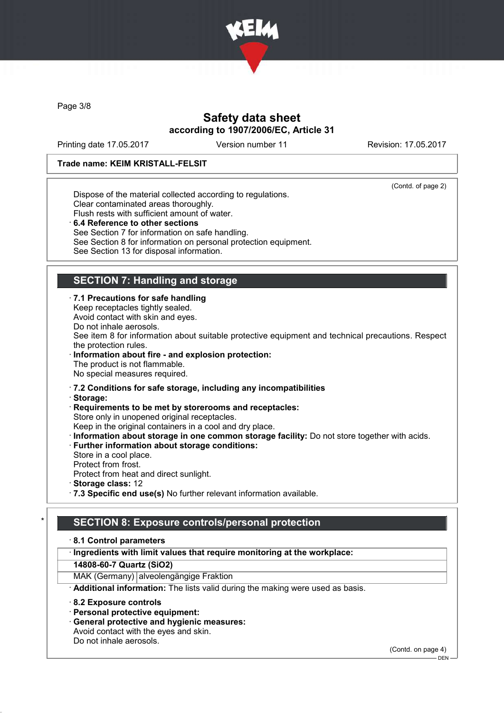

Page 3/8

# Safety data sheet according to 1907/2006/EC, Article 31

Printing date 17.05.2017 Version number 11 Revision: 17.05.2017

### Trade name: KEIM KRISTALL-FELSIT

(Contd. of page 2)

Dispose of the material collected according to regulations. Clear contaminated areas thoroughly. Flush rests with sufficient amount of water. 6.4 Reference to other sections

See Section 7 for information on safe handling. See Section 8 for information on personal protection equipment. See Section 13 for disposal information.

# SECTION 7: Handling and storage

· 7.1 Precautions for safe handling

Keep receptacles tightly sealed.

Avoid contact with skin and eyes.

Do not inhale aerosols.

See item 8 for information about suitable protective equipment and technical precautions. Respect the protection rules.

Information about fire - and explosion protection: The product is not flammable. No special measures required.

· 7.2 Conditions for safe storage, including any incompatibilities

· Storage:

· Requirements to be met by storerooms and receptacles: Store only in unopened original receptacles.

Keep in the original containers in a cool and dry place.

· Information about storage in one common storage facility: Do not store together with acids.

· Further information about storage conditions:

Store in a cool place. Protect from frost.

Protect from heat and direct sunlight.

· Storage class: 12

· 7.3 Specific end use(s) No further relevant information available.

# SECTION 8: Exposure controls/personal protection

### · 8.1 Control parameters

· Ingredients with limit values that require monitoring at the workplace:

14808-60-7 Quartz (SiO2)

MAK (Germany) alveolengängige Fraktion

· Additional information: The lists valid during the making were used as basis.

· 8.2 Exposure controls

- · Personal protective equipment:
- · General protective and hygienic measures:

Avoid contact with the eyes and skin.

Do not inhale aerosols.

(Contd. on page 4)

 $-$  DEN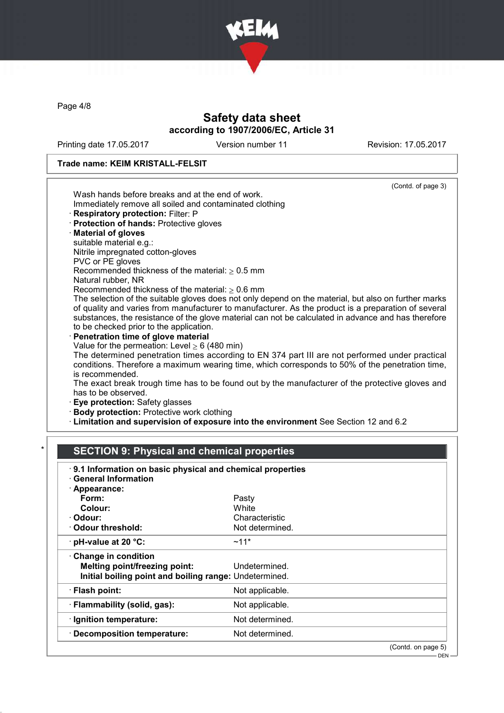

Page 4/8

# Safety data sheet according to 1907/2006/EC, Article 31

Printing date 17.05.2017 Version number 11 Revision: 17.05.2017

### Trade name: KEIM KRISTALL-FELSIT

# SECTION 9: Physical and chemical properties

| 9.1 Information on basic physical and chemical properties<br>· General Information |                    |
|------------------------------------------------------------------------------------|--------------------|
| · Appearance:                                                                      |                    |
| Form:                                                                              | Pasty              |
| Colour:                                                                            | White              |
| · Odour:                                                                           | Characteristic     |
| Odour threshold:                                                                   | Not determined.    |
| $\cdot$ pH-value at 20 $\degree$ C:                                                | $~11*$             |
| Change in condition                                                                |                    |
| Melting point/freezing point:                                                      | Undetermined.      |
| Initial boiling point and boiling range: Undetermined.                             |                    |
| · Flash point:                                                                     | Not applicable.    |
| · Flammability (solid, gas):                                                       | Not applicable.    |
| · Ignition temperature:                                                            | Not determined.    |
| · Decomposition temperature:                                                       | Not determined.    |
|                                                                                    | (Contd. on page 5) |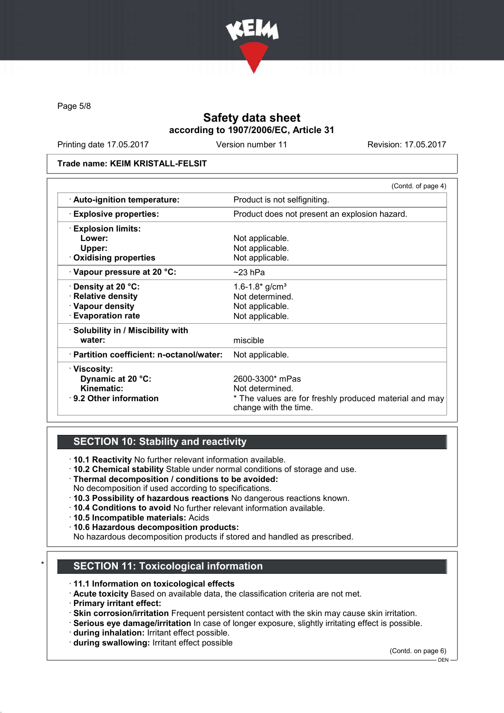

Page 5/8

# Safety data sheet according to 1907/2006/EC, Article 31

Printing date 17.05.2017 Version number 11 Revision: 17.05.2017

#### Trade name: KEIM KRISTALL-FELSIT

|                                           | (Contd. of page 4)                                                              |
|-------------------------------------------|---------------------------------------------------------------------------------|
| · Auto-ignition temperature:              | Product is not selfigniting.                                                    |
| <b>Explosive properties:</b>              | Product does not present an explosion hazard.                                   |
| <b>Explosion limits:</b>                  |                                                                                 |
| Lower:                                    | Not applicable.                                                                 |
| Upper:                                    | Not applicable.                                                                 |
| $\cdot$ Oxidising properties              | Not applicable.                                                                 |
| Vapour pressure at 20 °C:                 | $~23$ hPa                                                                       |
| $\cdot$ Density at 20 °C:                 | 1.6-1.8 $*$ g/cm <sup>3</sup>                                                   |
| · Relative density                        | Not determined.                                                                 |
| · Vapour density                          | Not applicable.                                                                 |
| <b>Evaporation rate</b>                   | Not applicable.                                                                 |
| · Solubility in / Miscibility with        |                                                                                 |
| water:                                    | miscible                                                                        |
| · Partition coefficient: n-octanol/water: | Not applicable.                                                                 |
| · Viscosity:                              |                                                                                 |
| Dynamic at 20 °C:                         | 2600-3300* mPas                                                                 |
| Kinematic:                                | Not determined.                                                                 |
| ⋅ 9.2 Other information                   | * The values are for freshly produced material and may<br>change with the time. |

# SECTION 10: Stability and reactivity

· 10.1 Reactivity No further relevant information available.

- · 10.2 Chemical stability Stable under normal conditions of storage and use.
- · Thermal decomposition / conditions to be avoided:
- No decomposition if used according to specifications.
- · 10.3 Possibility of hazardous reactions No dangerous reactions known.
- · 10.4 Conditions to avoid No further relevant information available.
- · 10.5 Incompatible materials: Acids
- · 10.6 Hazardous decomposition products:
- No hazardous decomposition products if stored and handled as prescribed.

# **SECTION 11: Toxicological information**

- · 11.1 Information on toxicological effects
- · Acute toxicity Based on available data, the classification criteria are not met.
- · Primary irritant effect:
- · Skin corrosion/irritation Frequent persistent contact with the skin may cause skin irritation.
- · Serious eye damage/irritation In case of longer exposure, slightly irritating effect is possible.
- · during inhalation: Irritant effect possible.
- · during swallowing: Irritant effect possible

(Contd. on page 6)

 $-$  DEN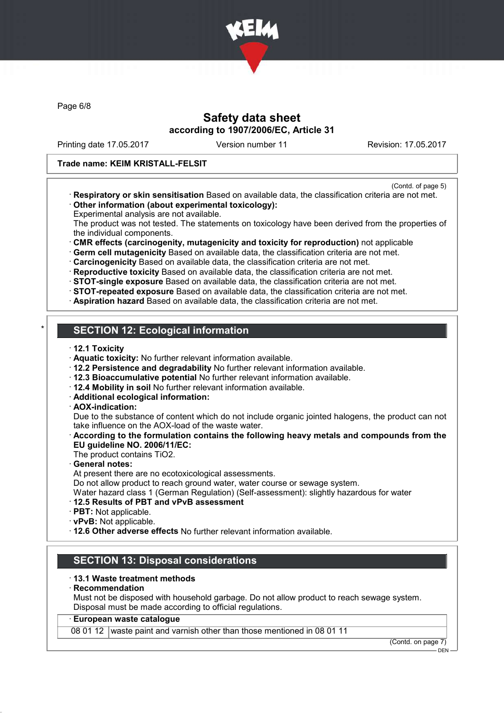

Page 6/8

### Safety data sheet according to 1907/2006/EC, Article 31

Printing date 17.05.2017 Version number 11 Revision: 17.05.2017

### Trade name: KEIM KRISTALL-FELSIT

- (Contd. of page 5)
- · Respiratory or skin sensitisation Based on available data, the classification criteria are not met. · Other information (about experimental toxicology):
- Experimental analysis are not available.

The product was not tested. The statements on toxicology have been derived from the properties of the individual components.

· CMR effects (carcinogenity, mutagenicity and toxicity for reproduction) not applicable

· Germ cell mutagenicity Based on available data, the classification criteria are not met.

· Carcinogenicity Based on available data, the classification criteria are not met.

· Reproductive toxicity Based on available data, the classification criteria are not met.

· STOT-single exposure Based on available data, the classification criteria are not met.

· STOT-repeated exposure Based on available data, the classification criteria are not met.

· Aspiration hazard Based on available data, the classification criteria are not met.

# **SECTION 12: Ecological information**

- · 12.1 Toxicity
- · Aquatic toxicity: No further relevant information available.
- · 12.2 Persistence and degradability No further relevant information available.
- · 12.3 Bioaccumulative potential No further relevant information available.
- · 12.4 Mobility in soil No further relevant information available.
- · Additional ecological information:
- · AOX-indication:

Due to the substance of content which do not include organic jointed halogens, the product can not take influence on the AOX-load of the waste water.

- According to the formulation contains the following heavy metals and compounds from the EU guideline NO. 2006/11/EC:
- The product contains TiO2.

General notes:

At present there are no ecotoxicological assessments.

Do not allow product to reach ground water, water course or sewage system.

Water hazard class 1 (German Regulation) (Self-assessment): slightly hazardous for water

### · 12.5 Results of PBT and vPvB assessment

- · PBT: Not applicable.
- · vPvB: Not applicable.

· 12.6 Other adverse effects No further relevant information available.

### SECTION 13: Disposal considerations

### · 13.1 Waste treatment methods

#### **Recommendation**

Must not be disposed with household garbage. Do not allow product to reach sewage system. Disposal must be made according to official regulations.

### · European waste catalogue

08 01 12 waste paint and varnish other than those mentioned in 08 01 11

(Contd. on page 7) DEN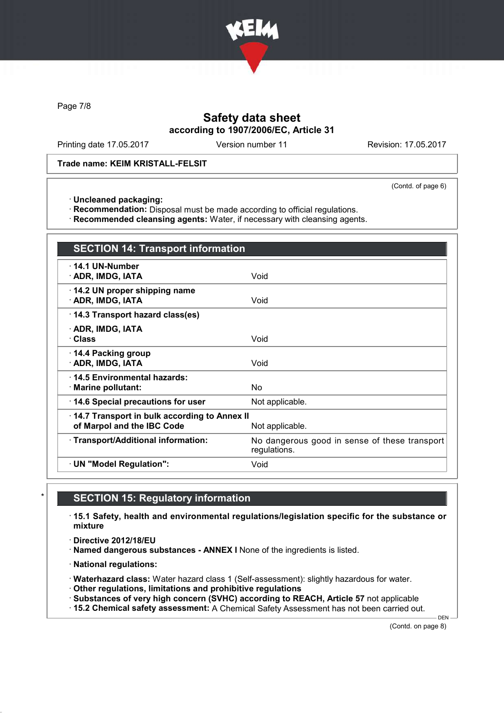

Page 7/8

## Safety data sheet according to 1907/2006/EC, Article 31

Printing date 17.05.2017 Version number 11 Revision: 17.05.2017

Trade name: KEIM KRISTALL-FELSIT

(Contd. of page 6)

· Uncleaned packaging:

· Recommendation: Disposal must be made according to official regulations.

· Recommended cleansing agents: Water, if necessary with cleansing agents.

| <b>SECTION 14: Transport information</b>                                   |                                                               |
|----------------------------------------------------------------------------|---------------------------------------------------------------|
| $\cdot$ 14.1 UN-Number<br>· ADR, IMDG, IATA                                | Void                                                          |
| 14.2 UN proper shipping name<br>· ADR, IMDG, IATA                          | Void                                                          |
| 14.3 Transport hazard class(es)                                            |                                                               |
| · ADR, IMDG, IATA<br>· Class                                               | Void                                                          |
| 14.4 Packing group<br>· ADR, IMDG, IATA                                    | Void                                                          |
| ⋅14.5 Environmental hazards:<br>· Marine pollutant:                        | N٥                                                            |
| 14.6 Special precautions for user                                          | Not applicable.                                               |
| 14.7 Transport in bulk according to Annex II<br>of Marpol and the IBC Code | Not applicable.                                               |
| · Transport/Additional information:                                        | No dangerous good in sense of these transport<br>regulations. |
| · UN "Model Regulation":                                                   | Void                                                          |

### **SECTION 15: Regulatory information**

· 15.1 Safety, health and environmental regulations/legislation specific for the substance or mixture

· Directive 2012/18/EU

· Named dangerous substances - ANNEX I None of the ingredients is listed.

· National regulations:

· Waterhazard class: Water hazard class 1 (Self-assessment): slightly hazardous for water.

· Other regulations, limitations and prohibitive regulations

· Substances of very high concern (SVHC) according to REACH, Article 57 not applicable

· 15.2 Chemical safety assessment: A Chemical Safety Assessment has not been carried out.

(Contd. on page 8)

DEN